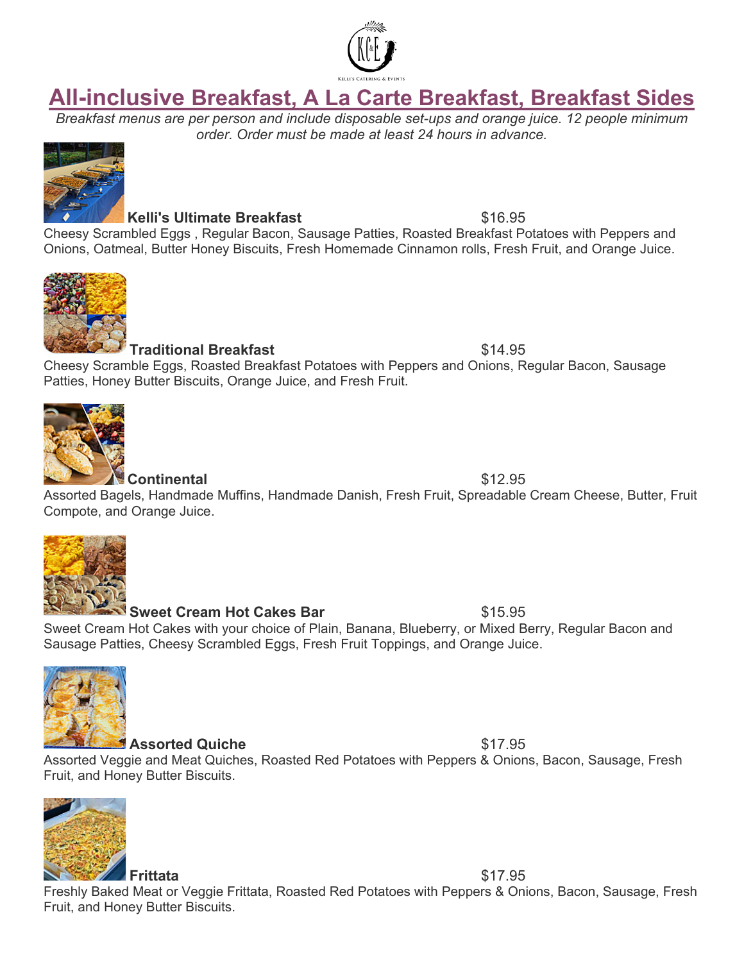

# **All-inclusive Breakfast, A La Carte Breakfast, Breakfast Sides**

*Breakfast menus are per person and include disposable set-ups and orange juice. 12 people minimum order. Order must be made at least 24 hours in advance.*



**Kelli's Ultimate Breakfast** \$16.95

Cheesy Scrambled Eggs , Regular Bacon, Sausage Patties, Roasted Breakfast Potatoes with Peppers and Onions, Oatmeal, Butter Honey Biscuits, Fresh Homemade Cinnamon rolls, Fresh Fruit, and Orange Juice.



## **Traditional Breakfast**  $$14.95$

Cheesy Scramble Eggs, Roasted Breakfast Potatoes with Peppers and Onions, Regular Bacon, Sausage Patties, Honey Butter Biscuits, Orange Juice, and Fresh Fruit.



**Continental** \$12.95

Assorted Bagels, Handmade Muffins, Handmade Danish, Fresh Fruit, Spreadable Cream Cheese, Butter, Fruit Compote, and Orange Juice.



## **Sweet Cream Hot Cakes Bar** \$15.95

Sweet Cream Hot Cakes with your choice of Plain, Banana, Blueberry, or Mixed Berry, Regular Bacon and Sausage Patties, Cheesy Scrambled Eggs, Fresh Fruit Toppings, and Orange Juice.



## **Assorted Quiche**  $$17.95$

Assorted Veggie and Meat Quiches, Roasted Red Potatoes with Peppers & Onions, Bacon, Sausage, Fresh Fruit, and Honey Butter Biscuits.



**Frittata** \$17.95 Freshly Baked Meat or Veggie Frittata, Roasted Red Potatoes with Peppers & Onions, Bacon, Sausage, Fresh Fruit, and Honey Butter Biscuits.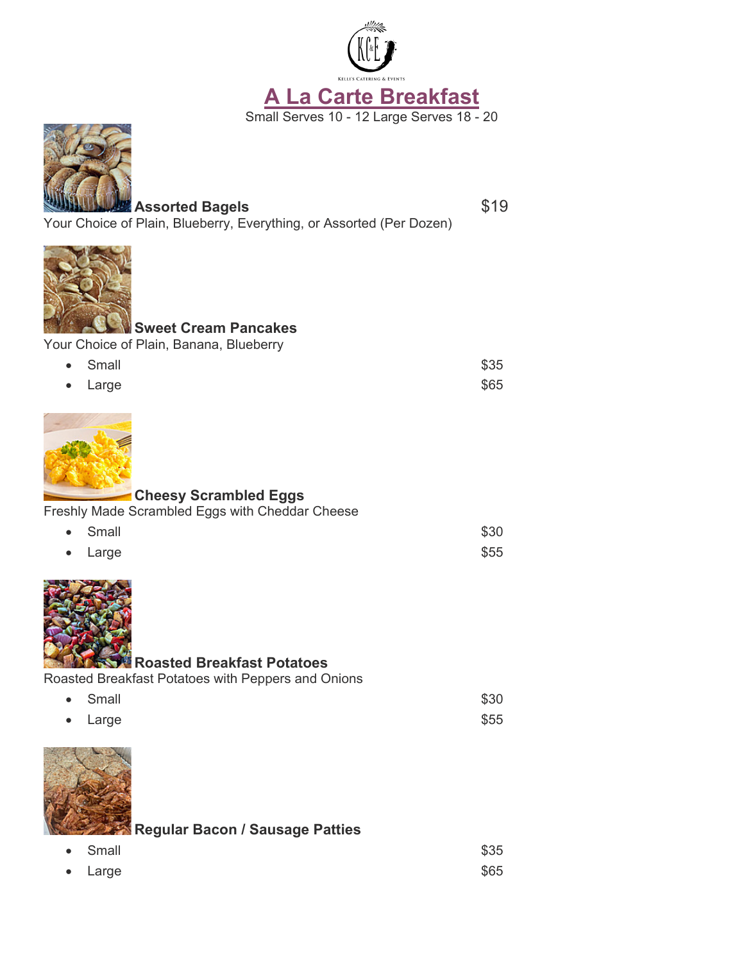



Assorted Bagels **\$19** Your Choice of Plain, Blueberry, Everything, or Assorted (Per Dozen)



# **Sweet Cream Pancakes**

Your Choice of Plain, Banana, Blueberry

| • Small         | \$35 |
|-----------------|------|
| $\bullet$ Large | \$65 |



# **Cheesy Scrambled Eggs**

Freshly Made Scrambled Eggs with Cheddar Cheese

| • Small | \$30 |
|---------|------|
| • Large | \$55 |



# **Roasted Breakfast Potatoes**

Roasted Breakfast Potatoes with Peppers and Onions

| • Small | \$30 |
|---------|------|
| • Large | \$55 |



**Regular Bacon / Sausage Patties**

| • Small | \$35 |
|---------|------|
| • Large | \$65 |

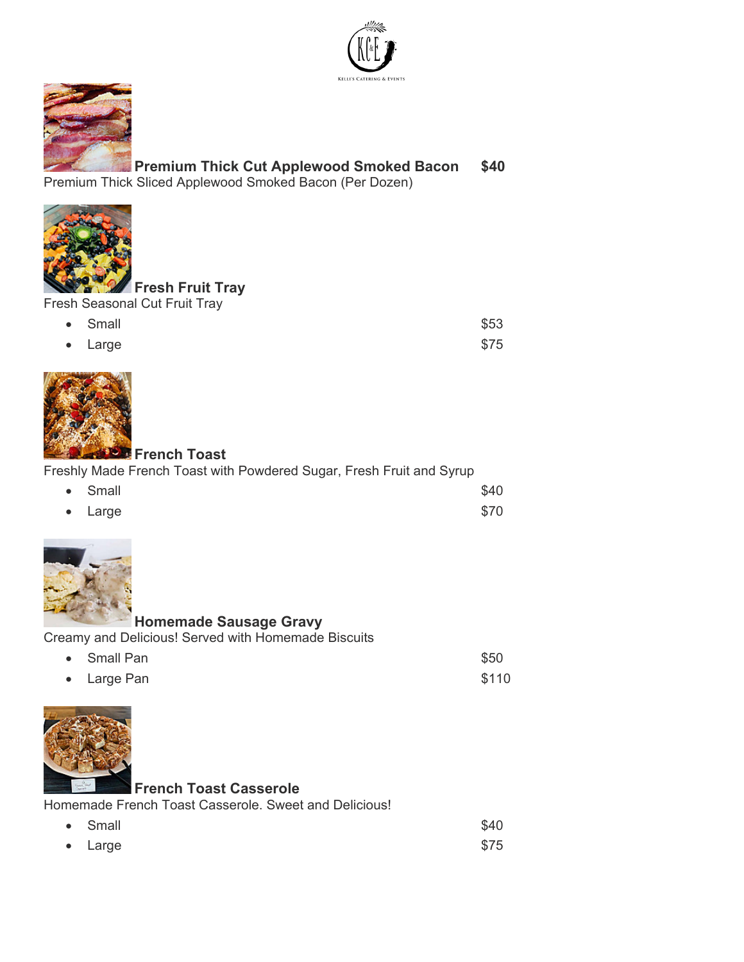



# **Premium Thick Cut Applewood Smoked Bacon \$40**

Premium Thick Sliced Applewood Smoked Bacon (Per Dozen)



# **Fresh Fruit Tray**

| <b>Fresh Seasonal Cut Fruit Tray</b> |  |
|--------------------------------------|--|
|--------------------------------------|--|

| • Small | \$53 |
|---------|------|
| • Large | \$75 |



# **French Toast**

#### Freshly Made French Toast with Powdered Sugar, Fresh Fruit and Syrup

| • Small         | \$40 |
|-----------------|------|
| $\bullet$ Large | \$70 |



# **Homemade Sausage Gravy**

Creamy and Delicious! Served with Homemade Biscuits

| • Small Pan | \$50  |
|-------------|-------|
| • Large Pan | \$110 |



#### **French Toast Casserole**

Homemade French Toast Casserole. Sweet and Delicious!

| • Small | \$40 |
|---------|------|
| • Large | \$75 |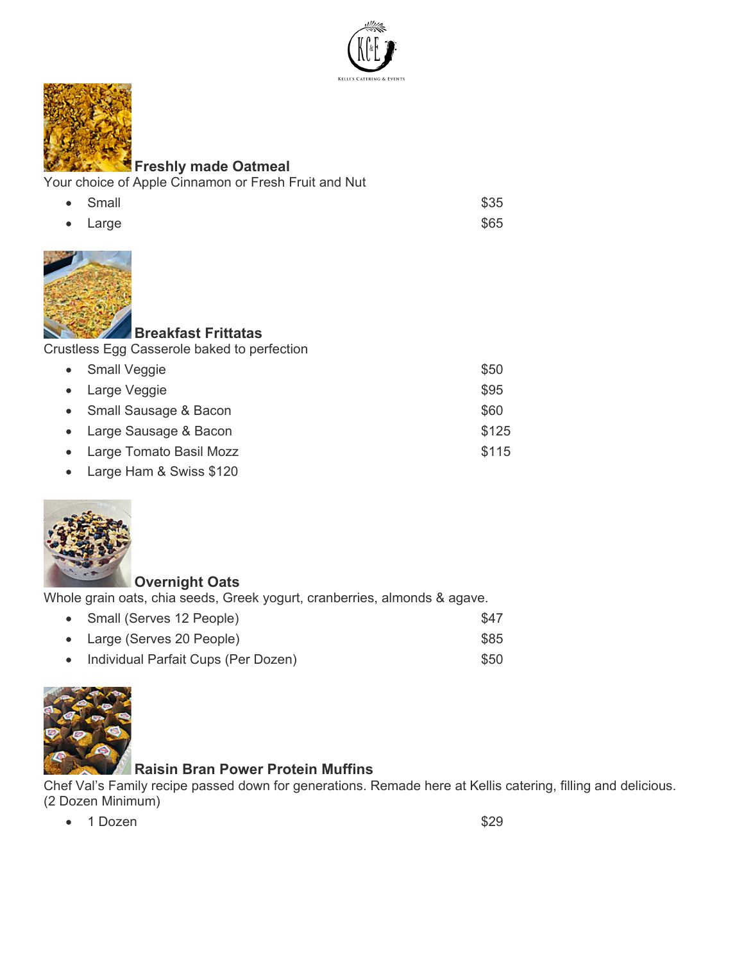



#### **Freshly made Oatmeal**

Your choice of Apple Cinnamon or Fresh Fruit and Nut

| • Small | \$35 |
|---------|------|
| • Large | \$65 |



# **Breakfast Frittatas**

Crustless Egg Casserole baked to perfection

| • Small Veggie            | \$50  |
|---------------------------|-------|
| • Large Veggie            | \$95  |
| • Small Sausage & Bacon   | \$60  |
| • Large Sausage & Bacon   | \$125 |
| • Large Tomato Basil Mozz | \$115 |
|                           |       |

• Large Ham & Swiss \$120



#### **Overnight Oats**

Whole grain oats, chia seeds, Greek yogurt, cranberries, almonds & agave.

• Small (Serves 12 People) \$47 • Large (Serves 20 People) \$85 • Individual Parfait Cups (Per Dozen) 650



# **Raisin Bran Power Protein Muffins**

Chef Val's Family recipe passed down for generations. Remade here at Kellis catering, filling and delicious. (2 Dozen Minimum)

•  $\sim$  1 Dozen  $\$29$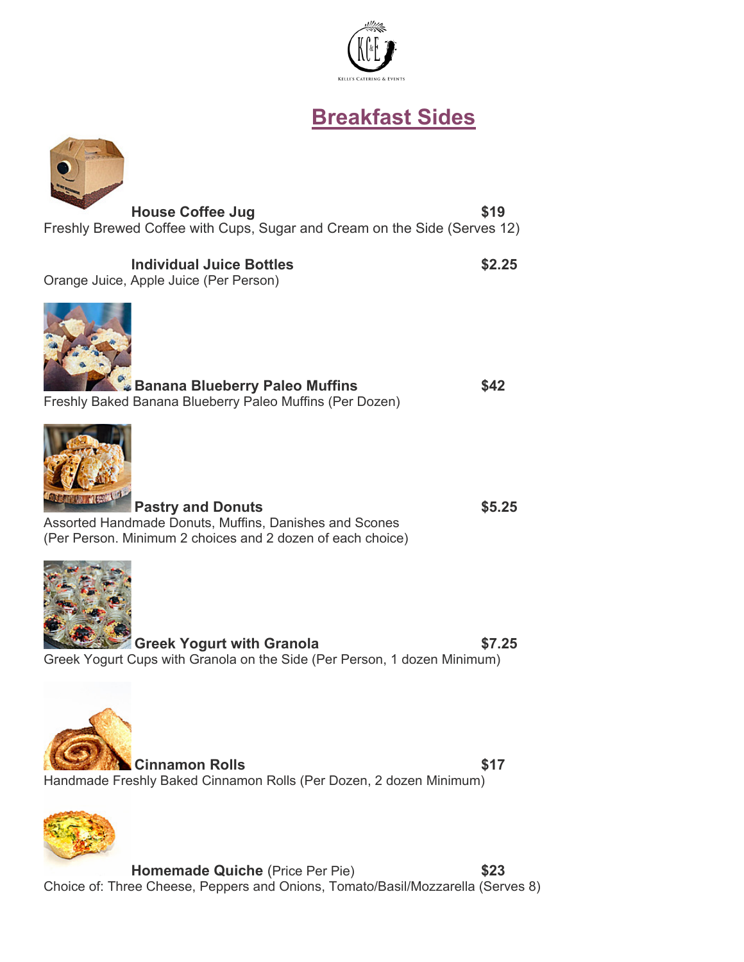

# **Breakfast Sides**



Freshly Brewed Coffee with Cups, Sugar and Cream on the Side (Serves 12)

# **Individual Juice Bottles \$2.25**

Orange Juice, Apple Juice (Per Person)



| Banana Blueberry Paleo Muffins                           | \$42 |
|----------------------------------------------------------|------|
| Freshly Baked Banana Blueberry Paleo Muffins (Per Dozen) |      |



**Pastry and Donuts \$5.25** Assorted Handmade Donuts, Muffins, Danishes and Scones (Per Person. Minimum 2 choices and 2 dozen of each choice)



**Greek Yogurt with Granola \$7.25** Greek Yogurt Cups with Granola on the Side (Per Person, 1 dozen Minimum)





**Homemade Quiche** (Price Per Pie) **\$23** Choice of: Three Cheese, Peppers and Onions, Tomato/Basil/Mozzarella (Serves 8)